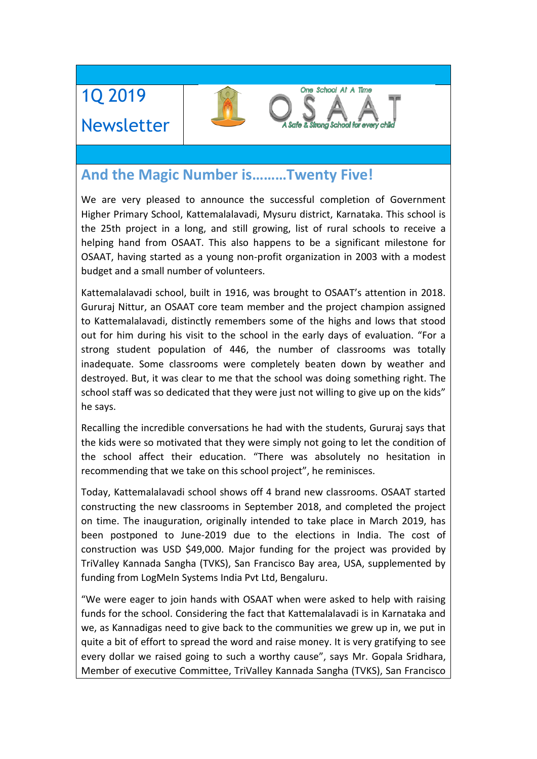1Q 2019 Newsletter

# **And the Magic Number is………Twenty Five!**

We are very pleased to announce the successful completion of Government Higher Primary School, Kattemalalavadi, Mysuru district, Karnataka. This school is the 25th project in a long, and still growing, list of rural schools to receive a helping hand from OSAAT. This also happens to be a significant milestone for OSAAT, having started as a young non-profit organization in 2003 with a modest budget and a small number of volunteers.

One School At A Time

**Safe & Strong School for every ch** 

Kattemalalavadi school, built in 1916, was brought to OSAAT's attention in 2018. Gururaj Nittur, an OSAAT core team member and the project champion assigned to Kattemalalavadi, distinctly remembers some of the highs and lows that stood out for him during his visit to the school in the early days of evaluation. "For a strong student population of 446, the number of classrooms was totally inadequate. Some classrooms were completely beaten down by weather and destroyed. But, it was clear to me that the school was doing something right. The school staff was so dedicated that they were just not willing to give up on the kids" he says.

Recalling the incredible conversations he had with the students, Gururaj says that the kids were so motivated that they were simply not going to let the condition of the school affect their education. "There was absolutely no hesitation in recommending that we take on this school project", he reminisces.

Today, Kattemalalavadi school shows off 4 brand new classrooms. OSAAT started constructing the new classrooms in September 2018, and completed the project on time. The inauguration, originally intended to take place in March 2019, has been postponed to June-2019 due to the elections in India. The cost of construction was USD \$49,000. Major funding for the project was provided by TriValley Kannada Sangha (TVKS), San Francisco Bay area, USA, supplemented by funding from LogMeIn Systems India Pvt Ltd, Bengaluru.

"We were eager to join hands with OSAAT when were asked to help with raising funds for the school. Considering the fact that Kattemalalavadi is in Karnataka and we, as Kannadigas need to give back to the communities we grew up in, we put in quite a bit of effort to spread the word and raise money. It is very gratifying to see every dollar we raised going to such a worthy cause", says Mr. Gopala Sridhara, Member of executive Committee, TriValley Kannada Sangha (TVKS), San Francisco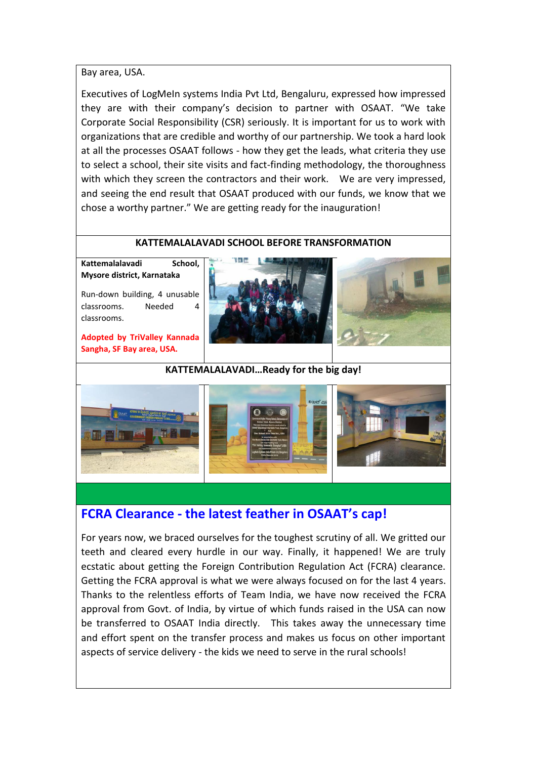#### Bay area, USA.

Executives of LogMeIn systems India Pvt Ltd, Bengaluru, expressed how impressed they are with their company's decision to partner with OSAAT. "We take Corporate Social Responsibility (CSR) seriously. It is important for us to work with organizations that are credible and worthy of our partnership. We took a hard look at all the processes OSAAT follows - how they get the leads, what criteria they use to select a school, their site visits and fact-finding methodology, the thoroughness with which they screen the contractors and their work. We are very impressed, and seeing the end result that OSAAT produced with our funds, we know that we chose a worthy partner." We are getting ready for the inauguration!

#### **KATTEMALALAVADI SCHOOL BEFORE TRANSFORMATION**

**Kattemalalavadi School, Mysore district, Karnataka**

Run-down building, 4 unusable classrooms. Needed 4 classrooms.

**Adopted by TriValley Kannada Sangha, SF Bay area, USA.**





#### **KATTEMALALAVADI…Ready for the big day!**



## **FCRA Clearance - the latest feather in OSAAT's cap!**

For years now, we braced ourselves for the toughest scrutiny of all. We gritted our teeth and cleared every hurdle in our way. Finally, it happened! We are truly ecstatic about getting the Foreign Contribution Regulation Act (FCRA) clearance. Getting the FCRA approval is what we were always focused on for the last 4 years. Thanks to the relentless efforts of Team India, we have now received the FCRA approval from Govt. of India, by virtue of which funds raised in the USA can now be transferred to OSAAT India directly. This takes away the unnecessary time and effort spent on the transfer process and makes us focus on other important aspects of service delivery - the kids we need to serve in the rural schools!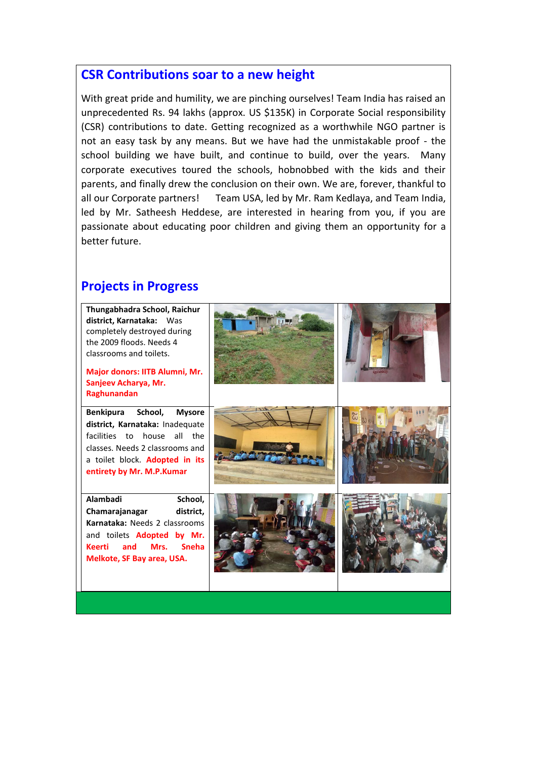## **CSR Contributions soar to a new height**

With great pride and humility, we are pinching ourselves! Team India has raised an unprecedented Rs. 94 lakhs (approx. US \$135K) in Corporate Social responsibility (CSR) contributions to date. Getting recognized as a worthwhile NGO partner is not an easy task by any means. But we have had the unmistakable proof - the school building we have built, and continue to build, over the years. Many corporate executives toured the schools, hobnobbed with the kids and their parents, and finally drew the conclusion on their own. We are, forever, thankful to all our Corporate partners! Team USA, led by Mr. Ram Kedlaya, and Team India, led by Mr. Satheesh Heddese, are interested in hearing from you, if you are passionate about educating poor children and giving them an opportunity for a better future.

## **Projects in Progress**

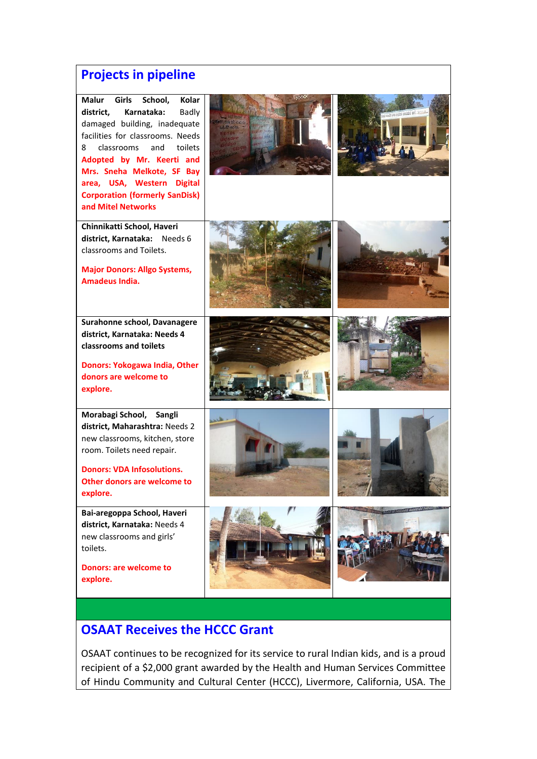## **Projects in pipeline**

**Malur Girls School, Kolar district, Karnataka:** Badly damaged building, inadequate facilities for classrooms. Needs 8 classrooms and toilets **Adopted by Mr. Keerti and Mrs. Sneha Melkote, SF Bay area, USA, Western Digital Corporation (formerly SanDisk) and Mitel Networks**

**Chinnikatti School, Haveri district, Karnataka:** Needs 6 classrooms and Toilets.

**Major Donors: Allgo Systems, Amadeus India.**

**Surahonne school, Davanagere district, Karnataka: Needs 4 classrooms and toilets**

**Donors: Yokogawa India, Other donors are welcome to explore.**

**Morabagi School, Sangli district, Maharashtra:** Needs 2 new classrooms, kitchen, store room. Toilets need repair.

**Donors: VDA Infosolutions. Other donors are welcome to explore.**

**Bai-aregoppa School, Haveri district, Karnataka:** Needs 4 new classrooms and girls' toilets.

**Donors: are welcome to explore.**





















## **OSAAT Receives the HCCC Grant**

OSAAT continues to be recognized for its service to rural Indian kids, and is a proud recipient of a \$2,000 grant awarded by the Health and Human Services Committee of Hindu Community and Cultural Center (HCCC), Livermore, California, USA. The